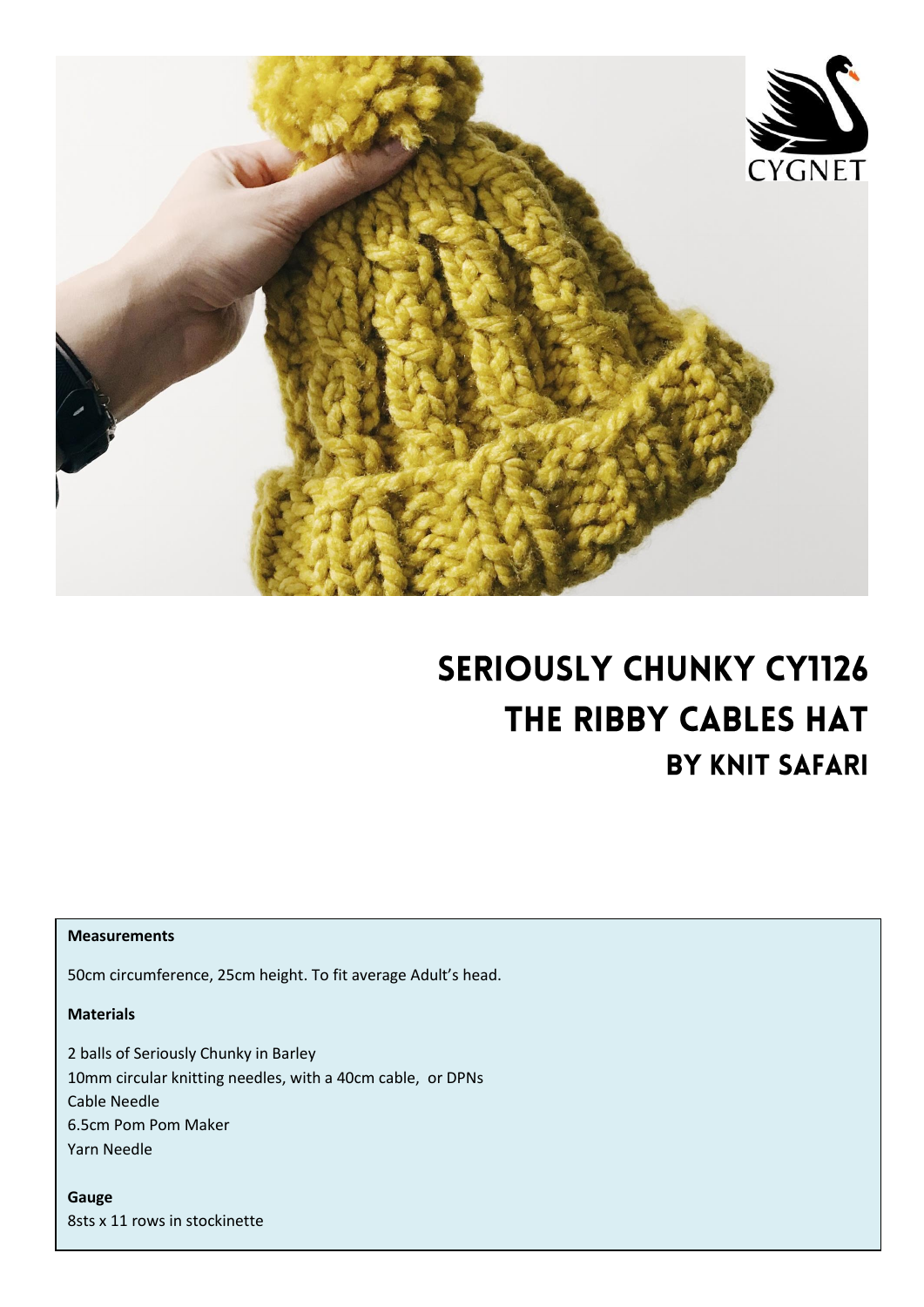

# **SERIOUSLY CHUNKY CY1126** THE RIBBY CABLES HAT **BY KNIT SAFARI**

#### **Measurements**

50cm circumference, 25cm height. To fit average Adult's head.

### **Materials**

2 balls of Seriously Chunky in Barley 10mm circular knitting needles, with a 40cm cable, or DPNs Cable Needle 6.5cm Pom Pom Maker Yarn Needle

**Gauge** 8sts x 11 rows in stockinette